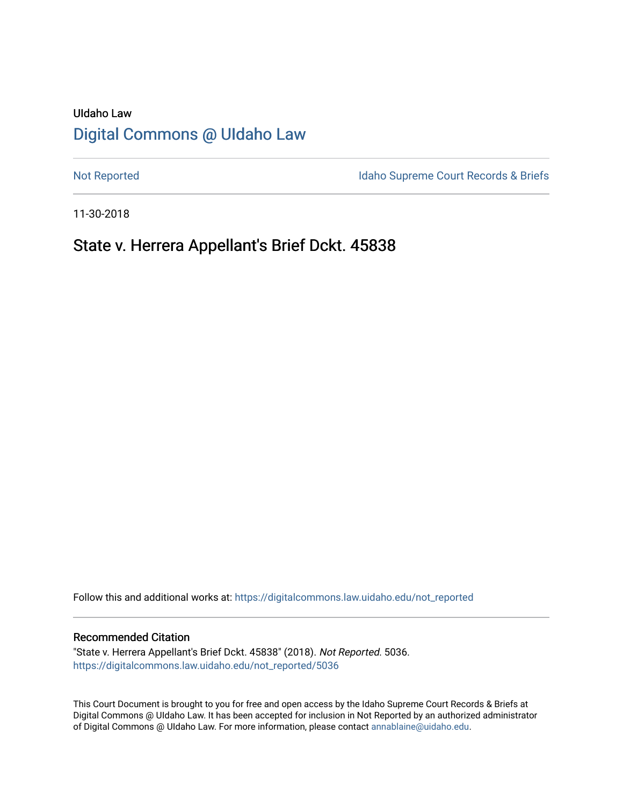# UIdaho Law [Digital Commons @ UIdaho Law](https://digitalcommons.law.uidaho.edu/)

[Not Reported](https://digitalcommons.law.uidaho.edu/not_reported) **Idaho Supreme Court Records & Briefs** 

11-30-2018

# State v. Herrera Appellant's Brief Dckt. 45838

Follow this and additional works at: [https://digitalcommons.law.uidaho.edu/not\\_reported](https://digitalcommons.law.uidaho.edu/not_reported?utm_source=digitalcommons.law.uidaho.edu%2Fnot_reported%2F5036&utm_medium=PDF&utm_campaign=PDFCoverPages) 

#### Recommended Citation

"State v. Herrera Appellant's Brief Dckt. 45838" (2018). Not Reported. 5036. [https://digitalcommons.law.uidaho.edu/not\\_reported/5036](https://digitalcommons.law.uidaho.edu/not_reported/5036?utm_source=digitalcommons.law.uidaho.edu%2Fnot_reported%2F5036&utm_medium=PDF&utm_campaign=PDFCoverPages)

This Court Document is brought to you for free and open access by the Idaho Supreme Court Records & Briefs at Digital Commons @ UIdaho Law. It has been accepted for inclusion in Not Reported by an authorized administrator of Digital Commons @ UIdaho Law. For more information, please contact [annablaine@uidaho.edu](mailto:annablaine@uidaho.edu).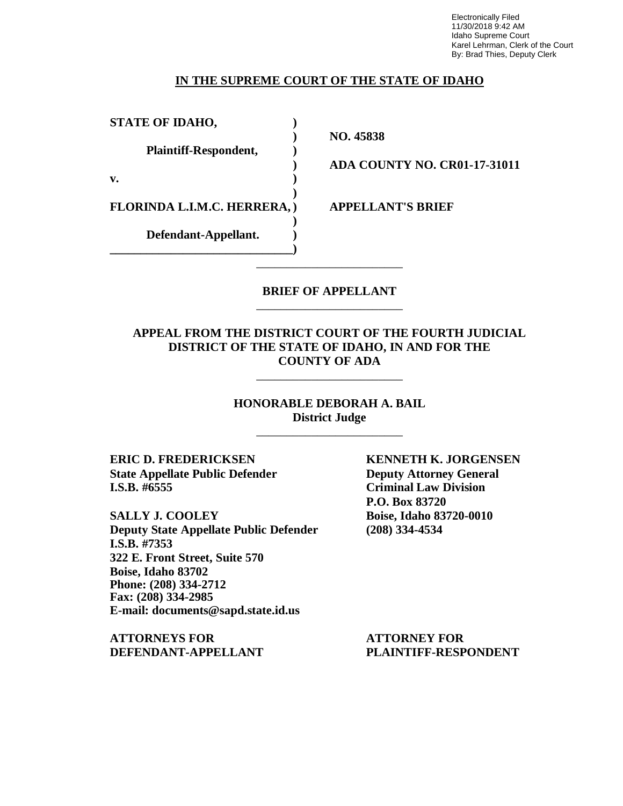Electronically Filed 11/30/2018 9:42 AM Idaho Supreme Court Karel Lehrman, Clerk of the Court By: Brad Thies, Deputy Clerk

### **IN THE SUPREME COURT OF THE STATE OF IDAHO**

| <b>STATE OF IDAHO,</b>       |  |
|------------------------------|--|
| <b>Plaintiff-Respondent,</b> |  |
| v.                           |  |
| FLORINDA L.I.M.C. HERRERA, ) |  |
| Defendant-Appellant.         |  |

**) NO. 45838**

**) ADA COUNTY NO. CR01-17-31011**

**APPELLANT'S BRIEF** 

## **BRIEF OF APPELLANT** \_\_\_\_\_\_\_\_\_\_\_\_\_\_\_\_\_\_\_\_\_\_\_\_

\_\_\_\_\_\_\_\_\_\_\_\_\_\_\_\_\_\_\_\_\_\_\_\_

## **APPEAL FROM THE DISTRICT COURT OF THE FOURTH JUDICIAL DISTRICT OF THE STATE OF IDAHO, IN AND FOR THE COUNTY OF ADA**

\_\_\_\_\_\_\_\_\_\_\_\_\_\_\_\_\_\_\_\_\_\_\_\_

**HONORABLE DEBORAH A. BAIL District Judge** \_\_\_\_\_\_\_\_\_\_\_\_\_\_\_\_\_\_\_\_\_\_\_\_

**ERIC D. FREDERICKSEN KENNETH K. JORGENSEN State Appellate Public Defender Deputy Attorney General I.S.B. #6555 Criminal Law Division**

**SALLY J. COOLEY Boise, Idaho 83720-0010 Deputy State Appellate Public Defender (208) 334-4534 I.S.B. #7353 322 E. Front Street, Suite 570 Boise, Idaho 83702 Phone: (208) 334-2712 Fax: (208) 334-2985 E-mail: documents@sapd.state.id.us**

**ATTORNEYS FOR ATTORNEY FOR DEFENDANT-APPELLANT PLAINTIFF-RESPONDENT**

**P.O. Box 83720**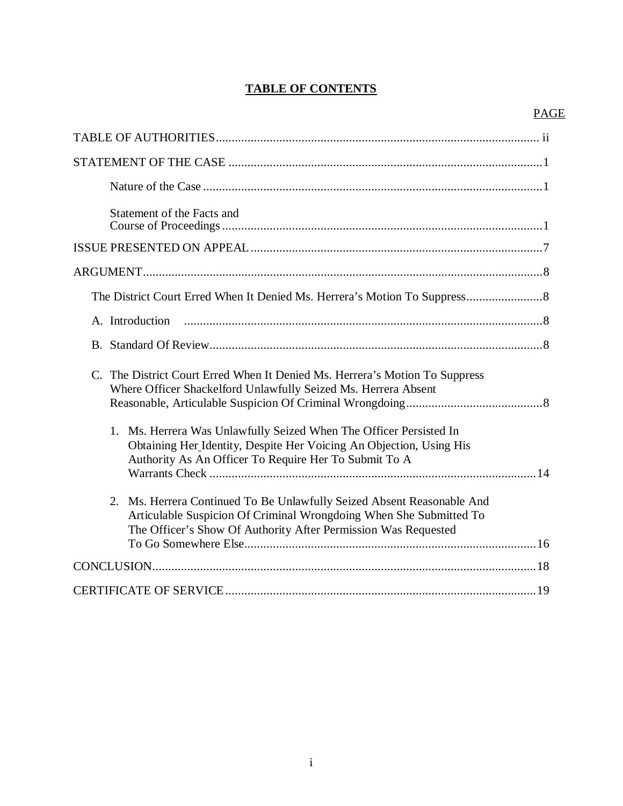# **TABLE OF CONTENTS**

| Statement of the Facts and                                                                                                                                                                                     |
|----------------------------------------------------------------------------------------------------------------------------------------------------------------------------------------------------------------|
|                                                                                                                                                                                                                |
|                                                                                                                                                                                                                |
|                                                                                                                                                                                                                |
|                                                                                                                                                                                                                |
|                                                                                                                                                                                                                |
| C. The District Court Erred When It Denied Ms. Herrera's Motion To Suppress<br>Where Officer Shackelford Unlawfully Seized Ms. Herrera Absent                                                                  |
| 1. Ms. Herrera Was Unlawfully Seized When The Officer Persisted In<br>Obtaining Her_Identity, Despite Her Voicing An Objection, Using His<br>Authority As An Officer To Require Her To Submit To A             |
| 2. Ms. Herrera Continued To Be Unlawfully Seized Absent Reasonable And<br>Articulable Suspicion Of Criminal Wrongdoing When She Submitted To<br>The Officer's Show Of Authority After Permission Was Requested |
|                                                                                                                                                                                                                |
|                                                                                                                                                                                                                |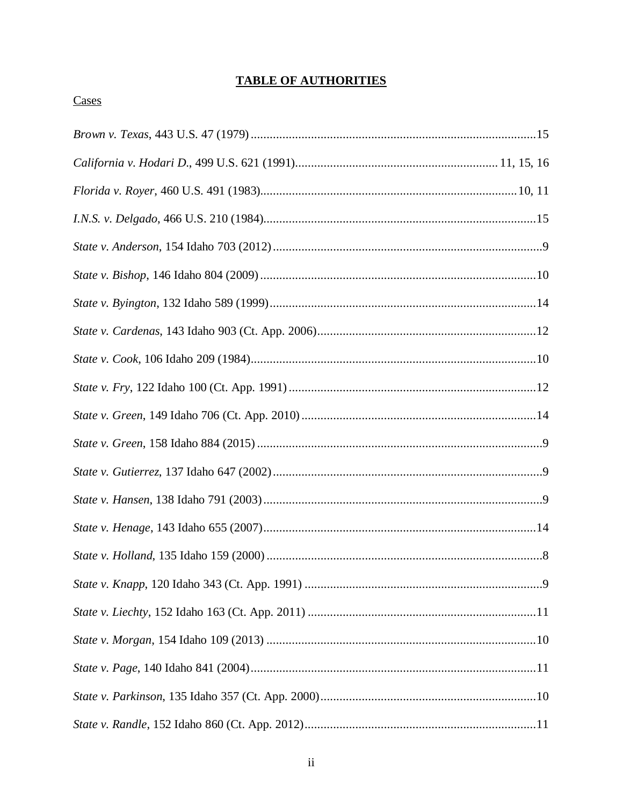# **TABLE OF AUTHORITIES**

# Cases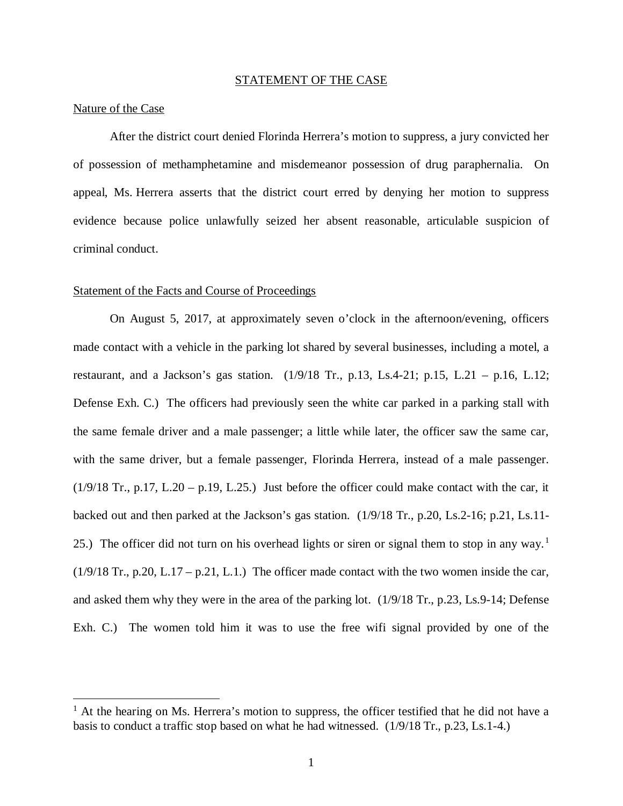#### STATEMENT OF THE CASE

#### Nature of the Case

After the district court denied Florinda Herrera's motion to suppress, a jury convicted her of possession of methamphetamine and misdemeanor possession of drug paraphernalia. On appeal, Ms. Herrera asserts that the district court erred by denying her motion to suppress evidence because police unlawfully seized her absent reasonable, articulable suspicion of criminal conduct.

#### Statement of the Facts and Course of Proceedings

On August 5, 2017, at approximately seven o'clock in the afternoon/evening, officers made contact with a vehicle in the parking lot shared by several businesses, including a motel, a restaurant, and a Jackson's gas station.  $(1/9/18 \text{ Tr.}, p.13, Ls.4-21; p.15, L.21 - p.16, L.12;$ Defense Exh. C.) The officers had previously seen the white car parked in a parking stall with the same female driver and a male passenger; a little while later, the officer saw the same car, with the same driver, but a female passenger, Florinda Herrera, instead of a male passenger.  $(1/9/18$  Tr., p.17, L.20 – p.19, L.25.) Just before the officer could make contact with the car, it backed out and then parked at the Jackson's gas station. (1/9/18 Tr., p.20, Ls.2-16; p.21, Ls.11- 25.) The officer did not turn on his overhead lights or siren or signal them to stop in any way.<sup>[1](#page-5-0)</sup>  $(1/9/18$  Tr., p.20, L.17 – p.21, L.1.) The officer made contact with the two women inside the car, and asked them why they were in the area of the parking lot. (1/9/18 Tr., p.23, Ls.9-14; Defense Exh. C.) The women told him it was to use the free wifi signal provided by one of the

<span id="page-5-0"></span> $<sup>1</sup>$  At the hearing on Ms. Herrera's motion to suppress, the officer testified that he did not have a</sup> basis to conduct a traffic stop based on what he had witnessed. (1/9/18 Tr., p.23, Ls.1-4.)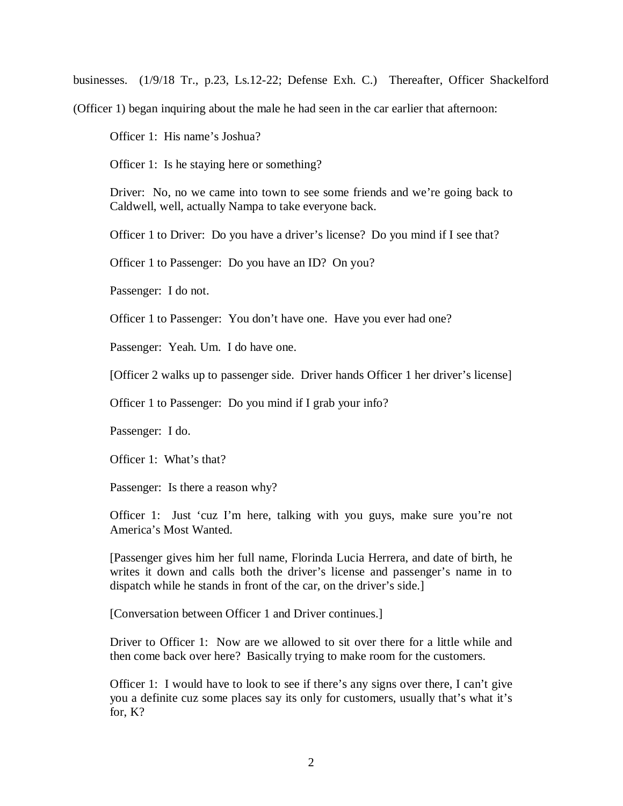businesses. (1/9/18 Tr., p.23, Ls.12-22; Defense Exh. C.) Thereafter, Officer Shackelford

(Officer 1) began inquiring about the male he had seen in the car earlier that afternoon:

Officer 1: His name's Joshua?

Officer 1: Is he staying here or something?

Driver: No, no we came into town to see some friends and we're going back to Caldwell, well, actually Nampa to take everyone back.

Officer 1 to Driver: Do you have a driver's license? Do you mind if I see that?

Officer 1 to Passenger: Do you have an ID? On you?

Passenger: I do not.

Officer 1 to Passenger: You don't have one. Have you ever had one?

Passenger: Yeah. Um. I do have one.

[Officer 2 walks up to passenger side. Driver hands Officer 1 her driver's license]

Officer 1 to Passenger: Do you mind if I grab your info?

Passenger: I do.

Officer 1: What's that?

Passenger: Is there a reason why?

Officer 1: Just 'cuz I'm here, talking with you guys, make sure you're not America's Most Wanted.

[Passenger gives him her full name, Florinda Lucia Herrera, and date of birth, he writes it down and calls both the driver's license and passenger's name in to dispatch while he stands in front of the car, on the driver's side.]

[Conversation between Officer 1 and Driver continues.]

Driver to Officer 1: Now are we allowed to sit over there for a little while and then come back over here? Basically trying to make room for the customers.

Officer 1: I would have to look to see if there's any signs over there, I can't give you a definite cuz some places say its only for customers, usually that's what it's for, K?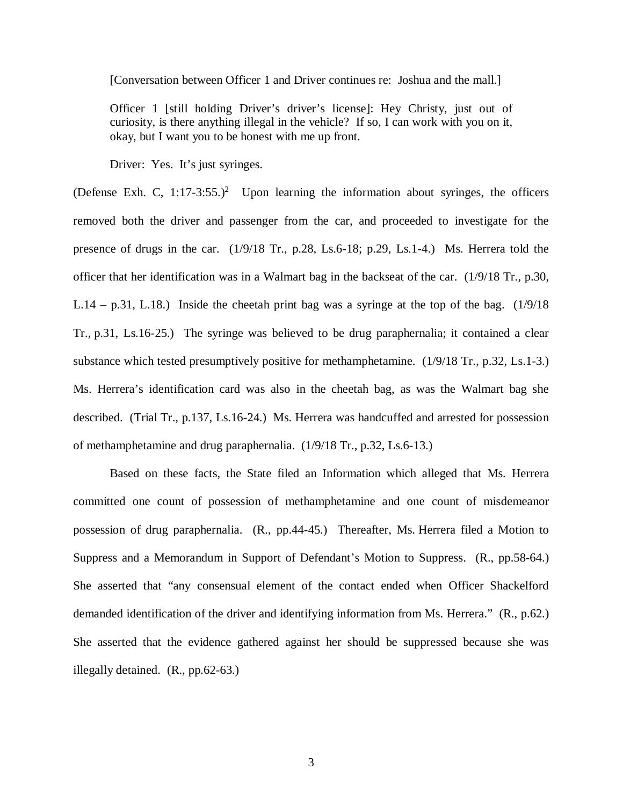[Conversation between Officer 1 and Driver continues re: Joshua and the mall.]

Officer 1 [still holding Driver's driver's license]: Hey Christy, just out of curiosity, is there anything illegal in the vehicle? If so, I can work with you on it, okay, but I want you to be honest with me up front.

Driver: Yes. It's just syringes.

(Defense Exh. C,  $1:17-3:55.^2$  $1:17-3:55.^2$  Upon learning the information about syringes, the officers removed both the driver and passenger from the car, and proceeded to investigate for the presence of drugs in the car. (1/9/18 Tr., p.28, Ls.6-18; p.29, Ls.1-4.) Ms. Herrera told the officer that her identification was in a Walmart bag in the backseat of the car. (1/9/18 Tr., p.30, L.14 – p.31, L.18.) Inside the cheetah print bag was a syringe at the top of the bag.  $(1/9/18)$ Tr., p.31, Ls.16-25.) The syringe was believed to be drug paraphernalia; it contained a clear substance which tested presumptively positive for methamphetamine. (1/9/18 Tr., p.32, Ls.1-3.) Ms. Herrera's identification card was also in the cheetah bag, as was the Walmart bag she described. (Trial Tr., p.137, Ls.16-24.) Ms. Herrera was handcuffed and arrested for possession of methamphetamine and drug paraphernalia. (1/9/18 Tr., p.32, Ls.6-13.)

<span id="page-7-0"></span>Based on these facts, the State filed an Information which alleged that Ms. Herrera committed one count of possession of methamphetamine and one count of misdemeanor possession of drug paraphernalia. (R., pp.44-45.) Thereafter, Ms. Herrera filed a Motion to Suppress and a Memorandum in Support of Defendant's Motion to Suppress. (R., pp.58-64.) She asserted that "any consensual element of the contact ended when Officer Shackelford demanded identification of the driver and identifying information from Ms. Herrera." (R., p.62.) She asserted that the evidence gathered against her should be suppressed because she was illegally detained. (R., pp.62-63.)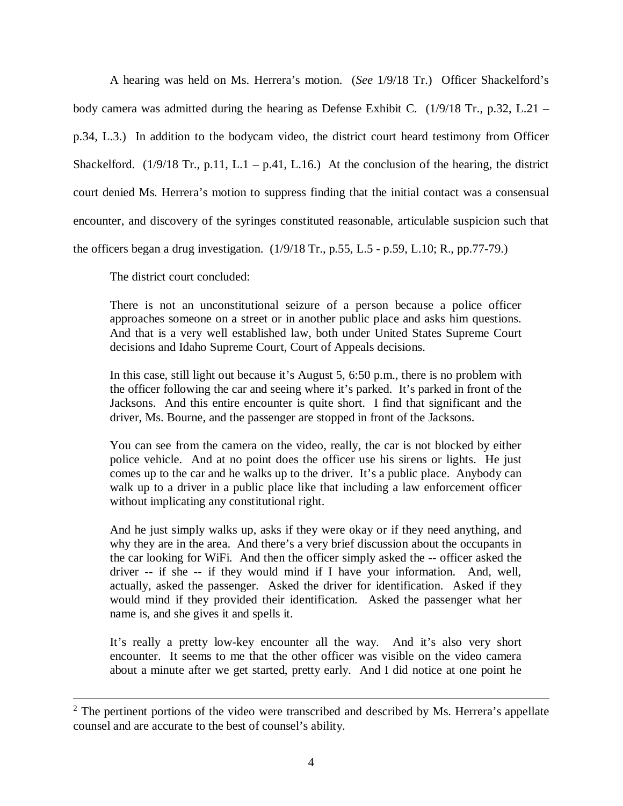A hearing was held on Ms. Herrera's motion. (*See* 1/9/18 Tr.) Officer Shackelford's body camera was admitted during the hearing as Defense Exhibit C.  $(1/9/18 \text{ Tr}., p.32, L.21$ p.34, L.3.) In addition to the bodycam video, the district court heard testimony from Officer Shackelford. (1/9/18 Tr., p.11, L.1 – p.41, L.16.) At the conclusion of the hearing, the district court denied Ms. Herrera's motion to suppress finding that the initial contact was a consensual encounter, and discovery of the syringes constituted reasonable, articulable suspicion such that the officers began a drug investigation. (1/9/18 Tr., p.55, L.5 - p.59, L.10; R., pp.77-79.)

The district court concluded:

There is not an unconstitutional seizure of a person because a police officer approaches someone on a street or in another public place and asks him questions. And that is a very well established law, both under United States Supreme Court decisions and Idaho Supreme Court, Court of Appeals decisions.

In this case, still light out because it's August 5, 6:50 p.m., there is no problem with the officer following the car and seeing where it's parked. It's parked in front of the Jacksons. And this entire encounter is quite short. I find that significant and the driver, Ms. Bourne, and the passenger are stopped in front of the Jacksons.

You can see from the camera on the video, really, the car is not blocked by either police vehicle. And at no point does the officer use his sirens or lights. He just comes up to the car and he walks up to the driver. It's a public place. Anybody can walk up to a driver in a public place like that including a law enforcement officer without implicating any constitutional right.

And he just simply walks up, asks if they were okay or if they need anything, and why they are in the area. And there's a very brief discussion about the occupants in the car looking for WiFi. And then the officer simply asked the -- officer asked the driver -- if she -- if they would mind if I have your information. And, well, actually, asked the passenger. Asked the driver for identification. Asked if they would mind if they provided their identification. Asked the passenger what her name is, and she gives it and spells it.

It's really a pretty low-key encounter all the way. And it's also very short encounter. It seems to me that the other officer was visible on the video camera about a minute after we get started, pretty early. And I did notice at one point he

 $2$  The pertinent portions of the video were transcribed and described by Ms. Herrera's appellate counsel and are accurate to the best of counsel's ability.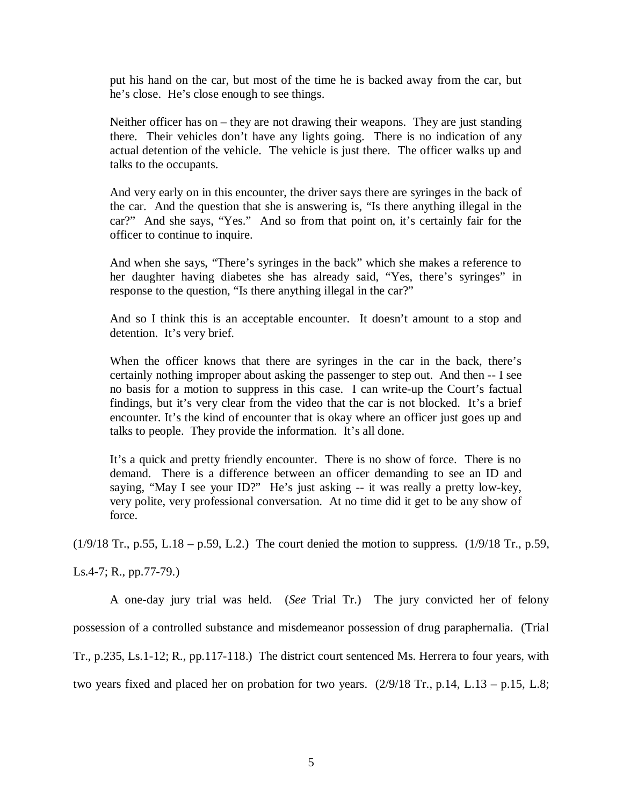put his hand on the car, but most of the time he is backed away from the car, but he's close. He's close enough to see things.

Neither officer has on – they are not drawing their weapons. They are just standing there. Their vehicles don't have any lights going. There is no indication of any actual detention of the vehicle. The vehicle is just there. The officer walks up and talks to the occupants.

And very early on in this encounter, the driver says there are syringes in the back of the car. And the question that she is answering is, "Is there anything illegal in the car?" And she says, "Yes." And so from that point on, it's certainly fair for the officer to continue to inquire.

And when she says, "There's syringes in the back" which she makes a reference to her daughter having diabetes she has already said, "Yes, there's syringes" in response to the question, "Is there anything illegal in the car?"

And so I think this is an acceptable encounter. It doesn't amount to a stop and detention. It's very brief.

When the officer knows that there are syringes in the car in the back, there's certainly nothing improper about asking the passenger to step out. And then -- I see no basis for a motion to suppress in this case. I can write-up the Court's factual findings, but it's very clear from the video that the car is not blocked. It's a brief encounter. It's the kind of encounter that is okay where an officer just goes up and talks to people. They provide the information. It's all done.

It's a quick and pretty friendly encounter. There is no show of force. There is no demand. There is a difference between an officer demanding to see an ID and saying, "May I see your ID?" He's just asking -- it was really a pretty low-key, very polite, very professional conversation. At no time did it get to be any show of force.

(1/9/18 Tr., p.55, L.18 – p.59, L.2.) The court denied the motion to suppress. (1/9/18 Tr., p.59,

Ls.4-7; R., pp.77-79.)

A one-day jury trial was held. (*See* Trial Tr.) The jury convicted her of felony possession of a controlled substance and misdemeanor possession of drug paraphernalia. (Trial Tr., p.235, Ls.1-12; R., pp.117-118.) The district court sentenced Ms. Herrera to four years, with two years fixed and placed her on probation for two years. (2/9/18 Tr., p.14, L.13 – p.15, L.8;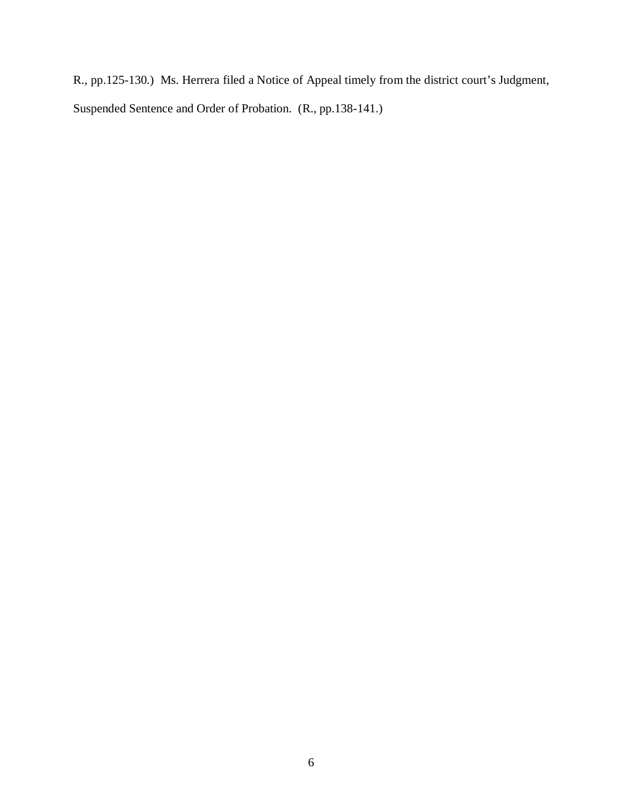R., pp.125-130.) Ms. Herrera filed a Notice of Appeal timely from the district court's Judgment, Suspended Sentence and Order of Probation. (R., pp.138-141.)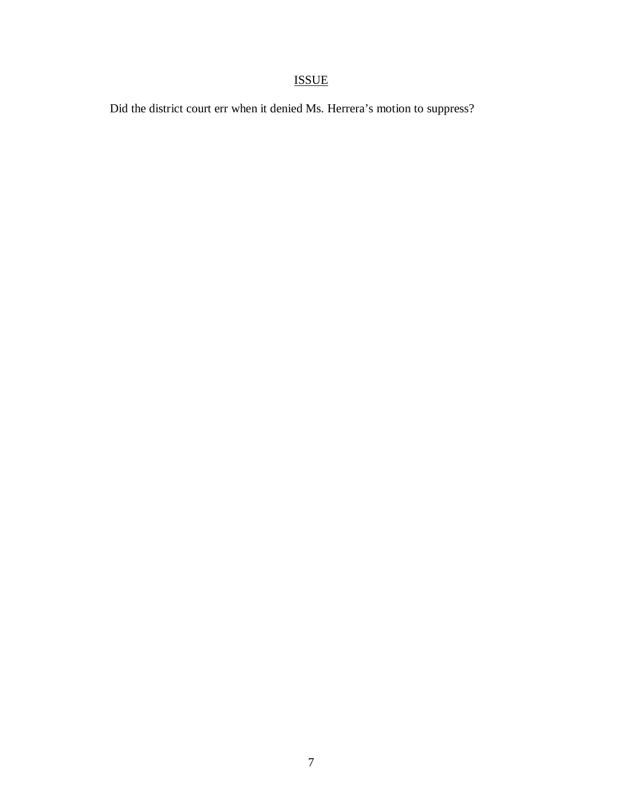# ISSUE

Did the district court err when it denied Ms. Herrera's motion to suppress?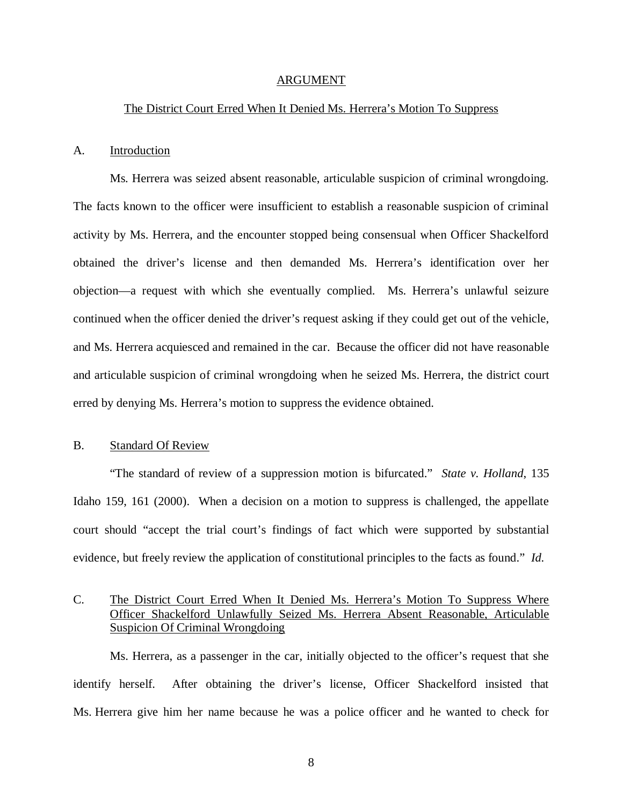#### ARGUMENT

#### The District Court Erred When It Denied Ms. Herrera's Motion To Suppress

#### A. Introduction

Ms. Herrera was seized absent reasonable, articulable suspicion of criminal wrongdoing. The facts known to the officer were insufficient to establish a reasonable suspicion of criminal activity by Ms. Herrera, and the encounter stopped being consensual when Officer Shackelford obtained the driver's license and then demanded Ms. Herrera's identification over her objection—a request with which she eventually complied. Ms. Herrera's unlawful seizure continued when the officer denied the driver's request asking if they could get out of the vehicle, and Ms. Herrera acquiesced and remained in the car. Because the officer did not have reasonable and articulable suspicion of criminal wrongdoing when he seized Ms. Herrera, the district court erred by denying Ms. Herrera's motion to suppress the evidence obtained.

### B. Standard Of Review

"The standard of review of a suppression motion is bifurcated." *State v. Holland*, 135 Idaho 159, 161 (2000). When a decision on a motion to suppress is challenged, the appellate court should "accept the trial court's findings of fact which were supported by substantial evidence, but freely review the application of constitutional principles to the facts as found." *Id.*

## C. The District Court Erred When It Denied Ms. Herrera's Motion To Suppress Where Officer Shackelford Unlawfully Seized Ms. Herrera Absent Reasonable, Articulable Suspicion Of Criminal Wrongdoing

Ms. Herrera, as a passenger in the car, initially objected to the officer's request that she identify herself. After obtaining the driver's license, Officer Shackelford insisted that Ms. Herrera give him her name because he was a police officer and he wanted to check for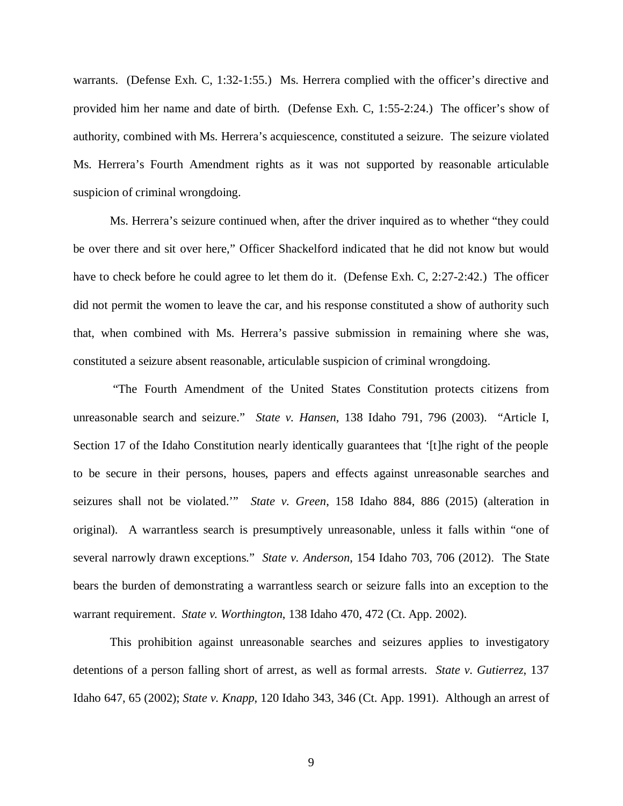warrants. (Defense Exh. C, 1:32-1:55.) Ms. Herrera complied with the officer's directive and provided him her name and date of birth. (Defense Exh. C, 1:55-2:24.) The officer's show of authority, combined with Ms. Herrera's acquiescence, constituted a seizure. The seizure violated Ms. Herrera's Fourth Amendment rights as it was not supported by reasonable articulable suspicion of criminal wrongdoing.

Ms. Herrera's seizure continued when, after the driver inquired as to whether "they could be over there and sit over here," Officer Shackelford indicated that he did not know but would have to check before he could agree to let them do it. (Defense Exh. C, 2:27-2:42.) The officer did not permit the women to leave the car, and his response constituted a show of authority such that, when combined with Ms. Herrera's passive submission in remaining where she was, constituted a seizure absent reasonable, articulable suspicion of criminal wrongdoing.

 "The Fourth Amendment of the United States Constitution protects citizens from unreasonable search and seizure." *State v. Hansen*, 138 Idaho 791, 796 (2003). "Article I, Section 17 of the Idaho Constitution nearly identically guarantees that '[t]he right of the people to be secure in their persons, houses, papers and effects against unreasonable searches and seizures shall not be violated.'" *State v. Green*, 158 Idaho 884, 886 (2015) (alteration in original). A warrantless search is presumptively unreasonable, unless it falls within "one of several narrowly drawn exceptions." *State v. Anderson*, 154 Idaho 703, 706 (2012). The State bears the burden of demonstrating a warrantless search or seizure falls into an exception to the warrant requirement. *State v. Worthington*, 138 Idaho 470, 472 (Ct. App. 2002).

This prohibition against unreasonable searches and seizures applies to investigatory detentions of a person falling short of arrest, as well as formal arrests. *State v. Gutierrez*, 137 Idaho 647, 65 (2002); *State v. Knapp*, 120 Idaho 343, 346 (Ct. App. 1991). Although an arrest of

9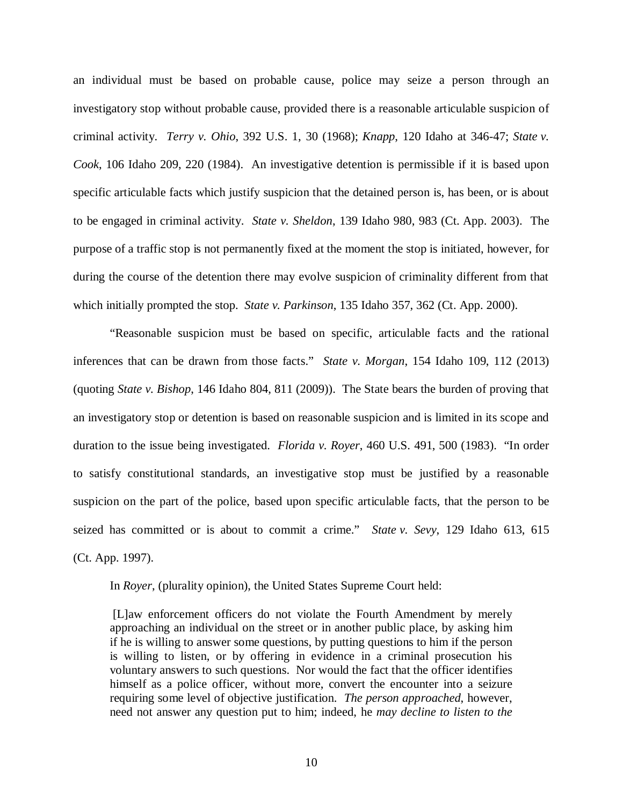an individual must be based on probable cause, police may seize a person through an investigatory stop without probable cause, provided there is a reasonable articulable suspicion of criminal activity. *Terry v. Ohio*, 392 U.S. 1, 30 (1968); *Knapp*, 120 Idaho at 346-47; *State v. Cook*, 106 Idaho 209, 220 (1984). An investigative detention is permissible if it is based upon specific articulable facts which justify suspicion that the detained person is, has been, or is about to be engaged in criminal activity. *State v. Sheldon*, 139 Idaho 980, 983 (Ct. App. 2003). The purpose of a traffic stop is not permanently fixed at the moment the stop is initiated, however, for during the course of the detention there may evolve suspicion of criminality different from that which initially prompted the stop. *State v. Parkinson*, 135 Idaho 357, 362 (Ct. App. 2000).

"Reasonable suspicion must be based on specific, articulable facts and the rational inferences that can be drawn from those facts." *State v. Morgan*, 154 Idaho 109, 112 (2013) (quoting *State v. Bishop*, 146 Idaho 804, 811 (2009)). The State bears the burden of proving that an investigatory stop or detention is based on reasonable suspicion and is limited in its scope and duration to the issue being investigated. *Florida v. Royer*, 460 U.S. 491, 500 (1983). "In order to satisfy constitutional standards, an investigative stop must be justified by a reasonable suspicion on the part of the police, based upon specific articulable facts, that the person to be seized has committed or is about to commit a crime." *State v. Sevy*, 129 Idaho 613, 615 (Ct. App. 1997).

In *Royer*, (plurality opinion), the United States Supreme Court held:

 [L]aw enforcement officers do not violate the Fourth Amendment by merely approaching an individual on the street or in another public place, by asking him if he is willing to answer some questions, by putting questions to him if the person is willing to listen, or by offering in evidence in a criminal prosecution his voluntary answers to such questions. Nor would the fact that the officer identifies himself as a police officer, without more, convert the encounter into a seizure requiring some level of objective justification. *The person approached*, however, need not answer any question put to him; indeed, he *may decline to listen to the*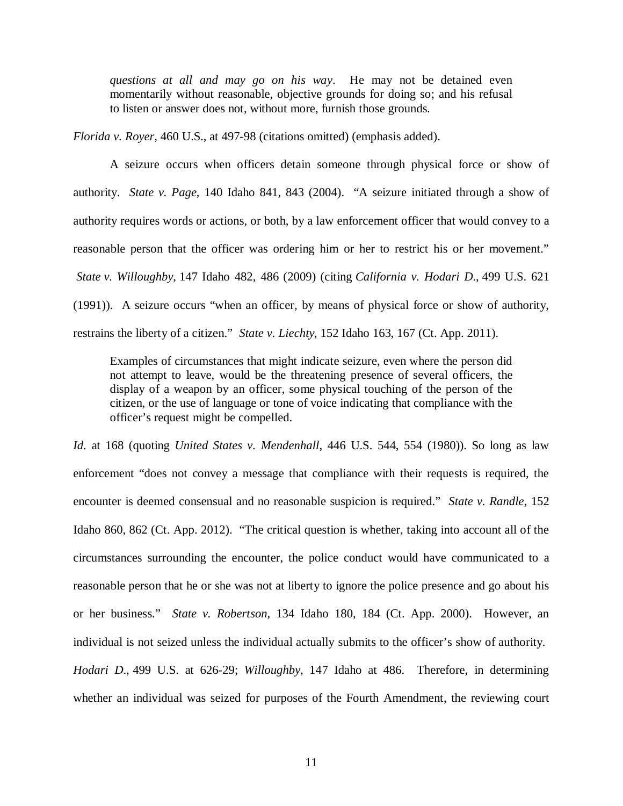*questions at all and may go on his way*. He may not be detained even momentarily without reasonable, objective grounds for doing so; and his refusal to listen or answer does not, without more, furnish those grounds.

*Florida v. Royer*, 460 U.S., at 497-98 (citations omitted) (emphasis added).

A seizure occurs when officers detain someone through physical force or show of authority. *State v. Page*, 140 Idaho 841, 843 (2004). "A seizure initiated through a show of authority requires words or actions, or both, by a law enforcement officer that would convey to a reasonable person that the officer was ordering him or her to restrict his or her movement." *State v. Willoughby*, 147 Idaho 482, 486 (2009) (citing *California v. Hodari D*., 499 U.S. 621 (1991)). A seizure occurs "when an officer, by means of physical force or show of authority, restrains the liberty of a citizen." *State v. Liechty*, 152 Idaho 163, 167 (Ct. App. 2011).

Examples of circumstances that might indicate seizure, even where the person did not attempt to leave, would be the threatening presence of several officers, the display of a weapon by an officer, some physical touching of the person of the citizen, or the use of language or tone of voice indicating that compliance with the officer's request might be compelled.

*Id.* at 168 (quoting *United States v. Mendenhall*, 446 U.S. 544, 554 (1980)). So long as law enforcement "does not convey a message that compliance with their requests is required, the encounter is deemed consensual and no reasonable suspicion is required." *State v. Randle*, 152 Idaho 860, 862 (Ct. App. 2012). "The critical question is whether, taking into account all of the circumstances surrounding the encounter, the police conduct would have communicated to a reasonable person that he or she was not at liberty to ignore the police presence and go about his or her business." *State v. Robertson*, 134 Idaho 180, 184 (Ct. App. 2000). However, an individual is not seized unless the individual actually submits to the officer's show of authority. *Hodari D*., 499 U.S. at 626-29; *Willoughby*, 147 Idaho at 486. Therefore, in determining

whether an individual was seized for purposes of the Fourth Amendment, the reviewing court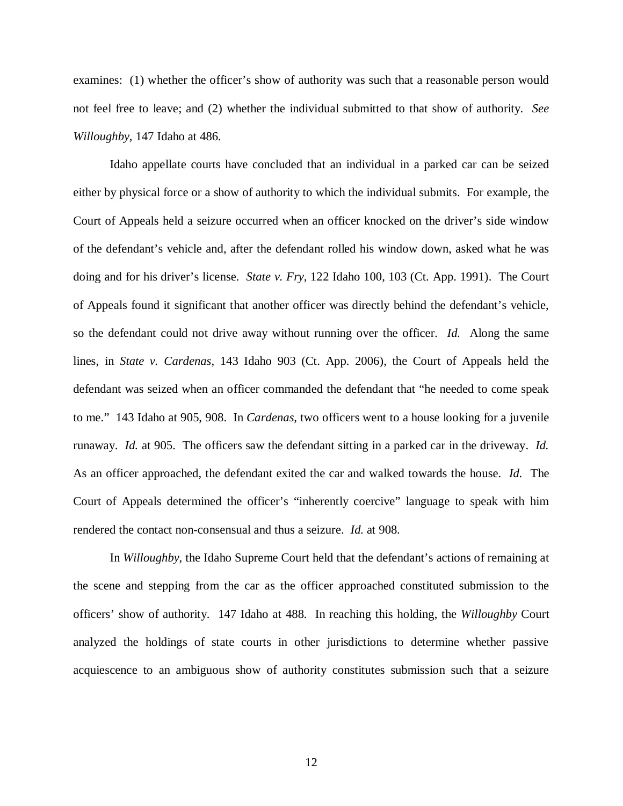examines: (1) whether the officer's show of authority was such that a reasonable person would not feel free to leave; and (2) whether the individual submitted to that show of authority. *See Willoughby*, 147 Idaho at 486.

Idaho appellate courts have concluded that an individual in a parked car can be seized either by physical force or a show of authority to which the individual submits. For example, the Court of Appeals held a seizure occurred when an officer knocked on the driver's side window of the defendant's vehicle and, after the defendant rolled his window down, asked what he was doing and for his driver's license. *State v. Fry*, 122 Idaho 100, 103 (Ct. App. 1991). The Court of Appeals found it significant that another officer was directly behind the defendant's vehicle, so the defendant could not drive away without running over the officer. *Id.* Along the same lines, in *State v. Cardenas*, 143 Idaho 903 (Ct. App. 2006), the Court of Appeals held the defendant was seized when an officer commanded the defendant that "he needed to come speak to me." 143 Idaho at 905, 908. In *Cardenas*, two officers went to a house looking for a juvenile runaway. *Id.* at 905. The officers saw the defendant sitting in a parked car in the driveway. *Id.* As an officer approached, the defendant exited the car and walked towards the house. *Id.* The Court of Appeals determined the officer's "inherently coercive" language to speak with him rendered the contact non-consensual and thus a seizure. *Id.* at 908.

In *Willoughby*, the Idaho Supreme Court held that the defendant's actions of remaining at the scene and stepping from the car as the officer approached constituted submission to the officers' show of authority. 147 Idaho at 488. In reaching this holding, the *Willoughby* Court analyzed the holdings of state courts in other jurisdictions to determine whether passive acquiescence to an ambiguous show of authority constitutes submission such that a seizure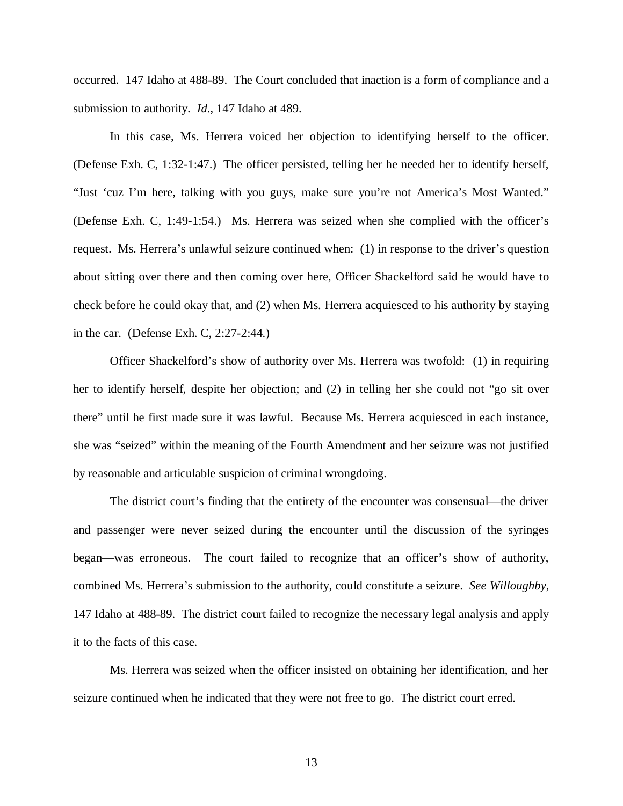occurred. 147 Idaho at 488-89. The Court concluded that inaction is a form of compliance and a submission to authority. *Id*., 147 Idaho at 489.

In this case, Ms. Herrera voiced her objection to identifying herself to the officer. (Defense Exh. C, 1:32-1:47.) The officer persisted, telling her he needed her to identify herself, "Just 'cuz I'm here, talking with you guys, make sure you're not America's Most Wanted." (Defense Exh. C, 1:49-1:54.) Ms. Herrera was seized when she complied with the officer's request. Ms. Herrera's unlawful seizure continued when: (1) in response to the driver's question about sitting over there and then coming over here, Officer Shackelford said he would have to check before he could okay that, and (2) when Ms. Herrera acquiesced to his authority by staying in the car. (Defense Exh. C, 2:27-2:44.)

Officer Shackelford's show of authority over Ms. Herrera was twofold: (1) in requiring her to identify herself, despite her objection; and (2) in telling her she could not "go sit over there" until he first made sure it was lawful. Because Ms. Herrera acquiesced in each instance, she was "seized" within the meaning of the Fourth Amendment and her seizure was not justified by reasonable and articulable suspicion of criminal wrongdoing.

The district court's finding that the entirety of the encounter was consensual—the driver and passenger were never seized during the encounter until the discussion of the syringes began—was erroneous. The court failed to recognize that an officer's show of authority, combined Ms. Herrera's submission to the authority, could constitute a seizure. *See Willoughby*, 147 Idaho at 488-89. The district court failed to recognize the necessary legal analysis and apply it to the facts of this case.

Ms. Herrera was seized when the officer insisted on obtaining her identification, and her seizure continued when he indicated that they were not free to go. The district court erred.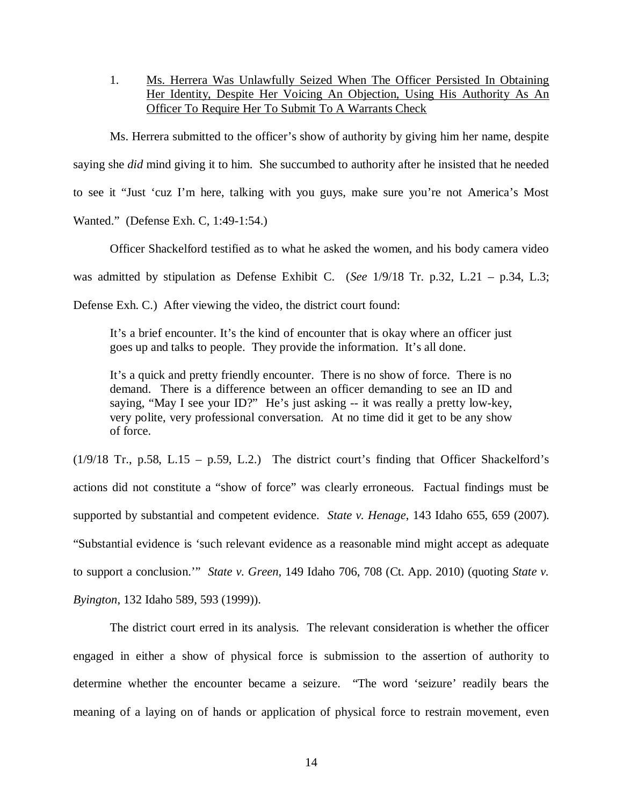1. Ms. Herrera Was Unlawfully Seized When The Officer Persisted In Obtaining Her Identity, Despite Her Voicing An Objection, Using His Authority As An Officer To Require Her To Submit To A Warrants Check

Ms. Herrera submitted to the officer's show of authority by giving him her name, despite saying she *did* mind giving it to him. She succumbed to authority after he insisted that he needed to see it "Just 'cuz I'm here, talking with you guys, make sure you're not America's Most Wanted." (Defense Exh. C, 1:49-1:54.)

Officer Shackelford testified as to what he asked the women, and his body camera video was admitted by stipulation as Defense Exhibit C. (*See* 1/9/18 Tr. p.32, L.21 – p.34, L.3; Defense Exh. C.) After viewing the video, the district court found:

It's a brief encounter. It's the kind of encounter that is okay where an officer just goes up and talks to people. They provide the information. It's all done.

It's a quick and pretty friendly encounter. There is no show of force. There is no demand. There is a difference between an officer demanding to see an ID and saying, "May I see your ID?" He's just asking -- it was really a pretty low-key, very polite, very professional conversation. At no time did it get to be any show of force.

(1/9/18 Tr., p.58, L.15 – p.59, L.2.) The district court's finding that Officer Shackelford's actions did not constitute a "show of force" was clearly erroneous. Factual findings must be supported by substantial and competent evidence. *State v. Henage*, 143 Idaho 655, 659 (2007). "Substantial evidence is 'such relevant evidence as a reasonable mind might accept as adequate to support a conclusion.'" *State v. Green*, 149 Idaho 706, 708 (Ct. App. 2010) (quoting *State v. Byington*, 132 Idaho 589, 593 (1999)).

The district court erred in its analysis. The relevant consideration is whether the officer engaged in either a show of physical force is submission to the assertion of authority to determine whether the encounter became a seizure. "The word 'seizure' readily bears the meaning of a laying on of hands or application of physical force to restrain movement, even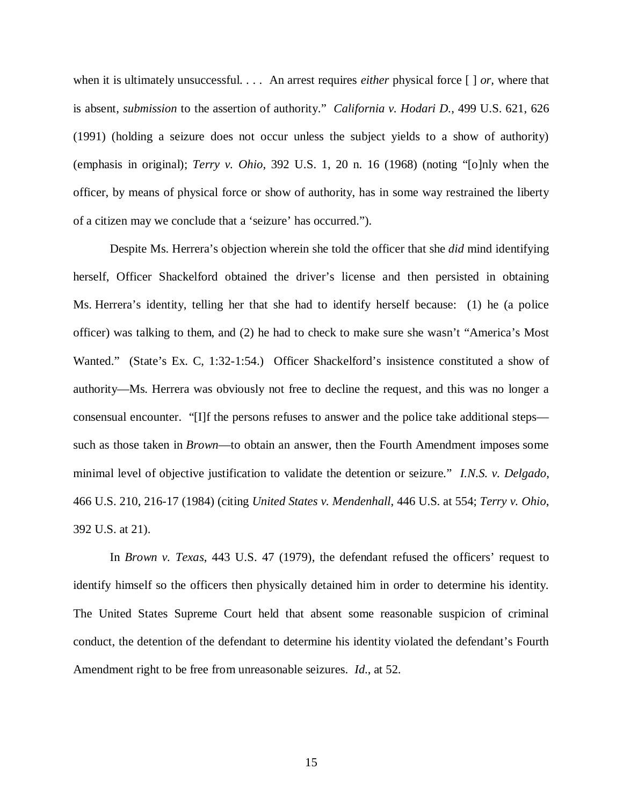when it is ultimately unsuccessful. . . . An arrest requires *either* physical force [ ] *or,* where that is absent, *submission* to the assertion of authority." *California v. Hodari D.*, 499 U.S. 621, 626 (1991) (holding a seizure does not occur unless the subject yields to a show of authority) (emphasis in original); *Terry v. Ohio*, 392 U.S. 1, 20 n. 16 (1968) (noting "[o]nly when the officer, by means of physical force or show of authority, has in some way restrained the liberty of a citizen may we conclude that a 'seizure' has occurred.").

Despite Ms. Herrera's objection wherein she told the officer that she *did* mind identifying herself, Officer Shackelford obtained the driver's license and then persisted in obtaining Ms. Herrera's identity, telling her that she had to identify herself because: (1) he (a police officer) was talking to them, and (2) he had to check to make sure she wasn't "America's Most Wanted." (State's Ex. C, 1:32-1:54.) Officer Shackelford's insistence constituted a show of authority—Ms. Herrera was obviously not free to decline the request, and this was no longer a consensual encounter. "[I]f the persons refuses to answer and the police take additional steps such as those taken in *Brown*—to obtain an answer, then the Fourth Amendment imposes some minimal level of objective justification to validate the detention or seizure." *I.N.S. v. Delgado*, 466 U.S. 210, 216-17 (1984) (citing *United States v. Mendenhall*, 446 U.S. at 554; *Terry v. Ohio*, 392 U.S. at 21).

In *Brown v. Texas*, 443 U.S. 47 (1979), the defendant refused the officers' request to identify himself so the officers then physically detained him in order to determine his identity. The United States Supreme Court held that absent some reasonable suspicion of criminal conduct, the detention of the defendant to determine his identity violated the defendant's Fourth Amendment right to be free from unreasonable seizures. *Id*., at 52.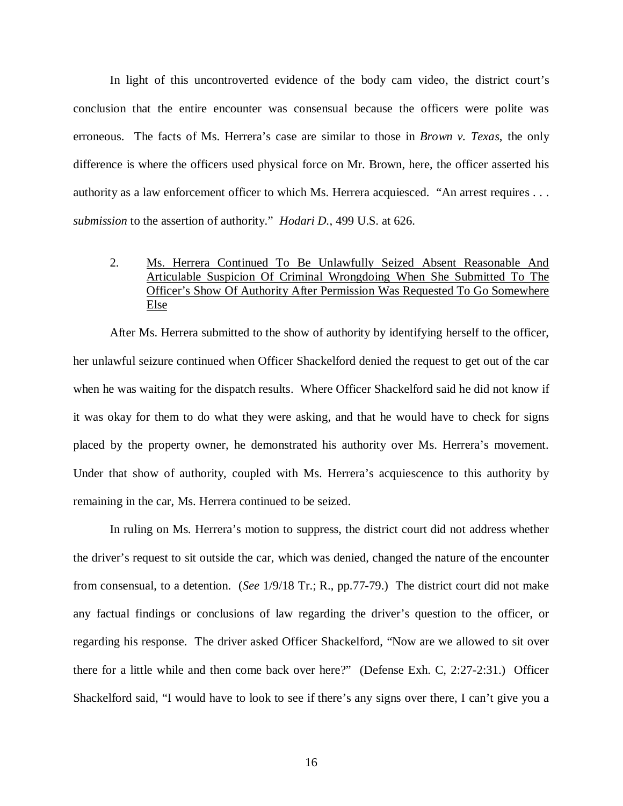In light of this uncontroverted evidence of the body cam video, the district court's conclusion that the entire encounter was consensual because the officers were polite was erroneous. The facts of Ms. Herrera's case are similar to those in *Brown v. Texas*, the only difference is where the officers used physical force on Mr. Brown, here, the officer asserted his authority as a law enforcement officer to which Ms. Herrera acquiesced. "An arrest requires *. . . submission* to the assertion of authority." *Hodari D.*, 499 U.S. at 626.

## 2. Ms. Herrera Continued To Be Unlawfully Seized Absent Reasonable And Articulable Suspicion Of Criminal Wrongdoing When She Submitted To The Officer's Show Of Authority After Permission Was Requested To Go Somewhere Else

After Ms. Herrera submitted to the show of authority by identifying herself to the officer, her unlawful seizure continued when Officer Shackelford denied the request to get out of the car when he was waiting for the dispatch results. Where Officer Shackelford said he did not know if it was okay for them to do what they were asking, and that he would have to check for signs placed by the property owner, he demonstrated his authority over Ms. Herrera's movement. Under that show of authority, coupled with Ms. Herrera's acquiescence to this authority by remaining in the car, Ms. Herrera continued to be seized.

In ruling on Ms. Herrera's motion to suppress, the district court did not address whether the driver's request to sit outside the car, which was denied, changed the nature of the encounter from consensual, to a detention. (*See* 1/9/18 Tr.; R., pp.77-79.) The district court did not make any factual findings or conclusions of law regarding the driver's question to the officer, or regarding his response. The driver asked Officer Shackelford, "Now are we allowed to sit over there for a little while and then come back over here?" (Defense Exh. C, 2:27-2:31.) Officer Shackelford said, "I would have to look to see if there's any signs over there, I can't give you a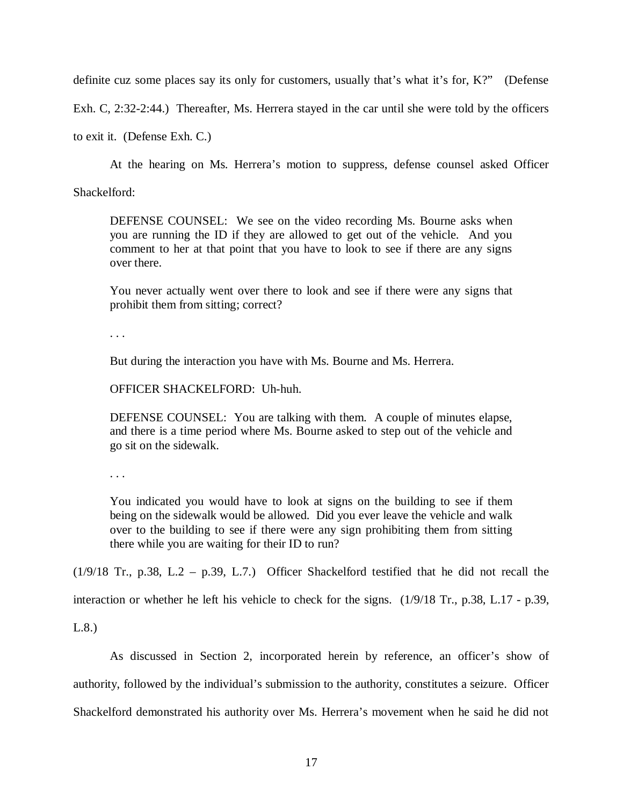definite cuz some places say its only for customers, usually that's what it's for, K?" (Defense

Exh. C, 2:32-2:44.) Thereafter, Ms. Herrera stayed in the car until she were told by the officers

to exit it. (Defense Exh. C.)

At the hearing on Ms. Herrera's motion to suppress, defense counsel asked Officer

Shackelford:

DEFENSE COUNSEL: We see on the video recording Ms. Bourne asks when you are running the ID if they are allowed to get out of the vehicle. And you comment to her at that point that you have to look to see if there are any signs over there.

You never actually went over there to look and see if there were any signs that prohibit them from sitting; correct?

. . .

But during the interaction you have with Ms. Bourne and Ms. Herrera.

OFFICER SHACKELFORD: Uh-huh.

DEFENSE COUNSEL: You are talking with them. A couple of minutes elapse, and there is a time period where Ms. Bourne asked to step out of the vehicle and go sit on the sidewalk.

. . .

You indicated you would have to look at signs on the building to see if them being on the sidewalk would be allowed. Did you ever leave the vehicle and walk over to the building to see if there were any sign prohibiting them from sitting there while you are waiting for their ID to run?

(1/9/18 Tr., p.38, L.2 – p.39, L.7.) Officer Shackelford testified that he did not recall the

interaction or whether he left his vehicle to check for the signs. (1/9/18 Tr., p.38, L.17 - p.39,

L.8.)

As discussed in Section 2, incorporated herein by reference, an officer's show of authority, followed by the individual's submission to the authority, constitutes a seizure. Officer Shackelford demonstrated his authority over Ms. Herrera's movement when he said he did not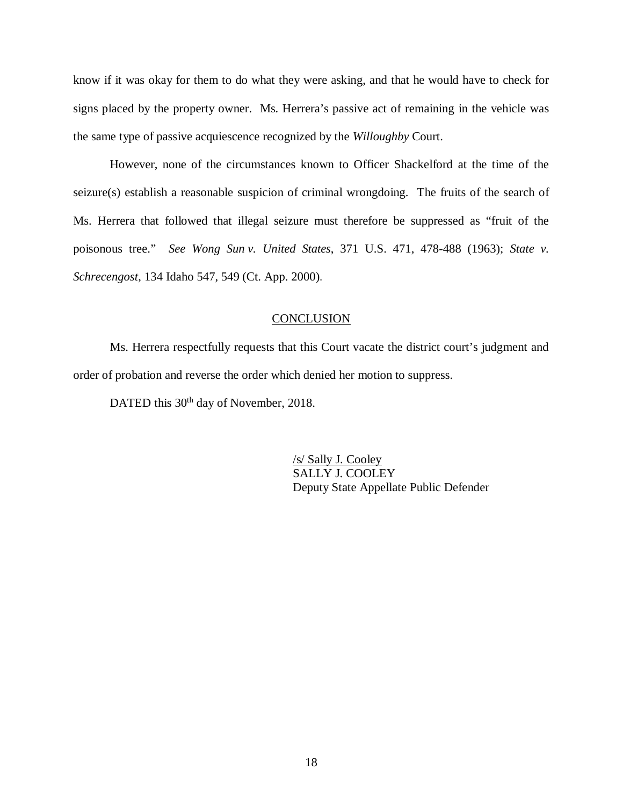know if it was okay for them to do what they were asking, and that he would have to check for signs placed by the property owner. Ms. Herrera's passive act of remaining in the vehicle was the same type of passive acquiescence recognized by the *Willoughby* Court.

However, none of the circumstances known to Officer Shackelford at the time of the seizure(s) establish a reasonable suspicion of criminal wrongdoing. The fruits of the search of Ms. Herrera that followed that illegal seizure must therefore be suppressed as "fruit of the poisonous tree." *See Wong Sun v. United States*, 371 U.S. 471, 478-488 (1963); *State v. Schrecengost*, 134 Idaho 547, 549 (Ct. App. 2000).

### **CONCLUSION**

Ms. Herrera respectfully requests that this Court vacate the district court's judgment and order of probation and reverse the order which denied her motion to suppress.

DATED this 30<sup>th</sup> day of November, 2018.

/s/ Sally J. Cooley SALLY J. COOLEY Deputy State Appellate Public Defender